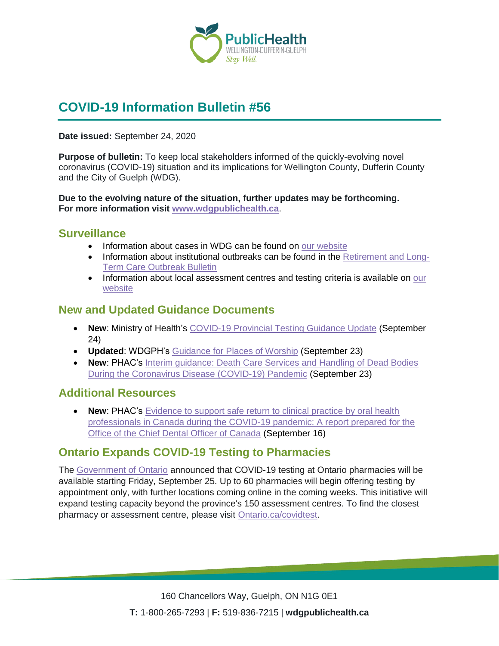

# **COVID-19 Information Bulletin #56**

#### **Date issued:** September 24, 2020

**Purpose of bulletin:** To keep local stakeholders informed of the quickly-evolving novel coronavirus (COVID-19) situation and its implications for Wellington County, Dufferin County and the City of Guelph (WDG).

**Due to the evolving nature of the situation, further updates may be forthcoming. For more information visit [www.wdgpublichealth.ca](http://www.wdgpublichealth.ca/)**.

#### **Surveillance**

- Information about cases in WDG can be found on [our website](https://wdgpublichealth.ca/your-health/covid-19-information-public/status-cases-wdg)
- Information about institutional outbreaks can be found in the [Retirement and Long-](https://wdgpublichealth.ca/node/1542)[Term Care Outbreak Bulletin](https://wdgpublichealth.ca/node/1542)
- Information about local assessment centres and testing criteria is available on our [website](https://www.wdgpublichealth.ca/your-health/covid-19-information-public/assessment-centres-wdg)

#### **New and Updated Guidance Documents**

- **New**: Ministry of Health's [COVID-19 Provincial Testing Guidance Update](http://health.gov.on.ca/en/pro/programs/publichealth/coronavirus/docs/2019_testing_guidance.pdf) (September 24)
- **Updated**: WDGPH's [Guidance for Places of Worship](https://www.wdgpublichealth.ca/sites/default/files/covid-19_guidance_for_places_of_worship_sept_23_2020.pdf) (September 23)
- **New**: PHAC's [Interim guidance: Death Care Services and Handling of Dead Bodies](https://www.canada.ca/en/public-health/services/diseases/2019-novel-coronavirus-infection/guidance-documents/death-care-services-handling-dead-bodies.html)  [During the Coronavirus Disease \(COVID-19\) Pandemic](https://www.canada.ca/en/public-health/services/diseases/2019-novel-coronavirus-infection/guidance-documents/death-care-services-handling-dead-bodies.html) (September 23)

#### **Additional Resources**

• **New: PHAC's** Evidence to support safe return to clinical practice by oral health [professionals in Canada during the COVID-19 pandemic:](https://www.canada.ca/en/public-health/services/diseases/2019-novel-coronavirus-infection/guidance-documents.html) A report prepared for the [Office of the Chief Dental Officer of Canada](https://www.canada.ca/en/public-health/services/diseases/2019-novel-coronavirus-infection/guidance-documents.html) (September 16)

#### **Ontario Expands COVID-19 Testing to Pharmacies**

The [Government of Ontario](https://news.ontario.ca/en/release/58492/ontario-expands-covid-19-testing-to-pharmacies) announced that COVID-19 testing at Ontario pharmacies will be available starting Friday, September 25. Up to 60 pharmacies will begin offering testing by appointment only, with further locations coming online in the coming weeks. This initiative will expand testing capacity beyond the province's 150 assessment centres. To find the closest pharmacy or assessment centre, please visit [Ontario.ca/covidtest.](https://covid-19.ontario.ca/covid-19-assessment-centres)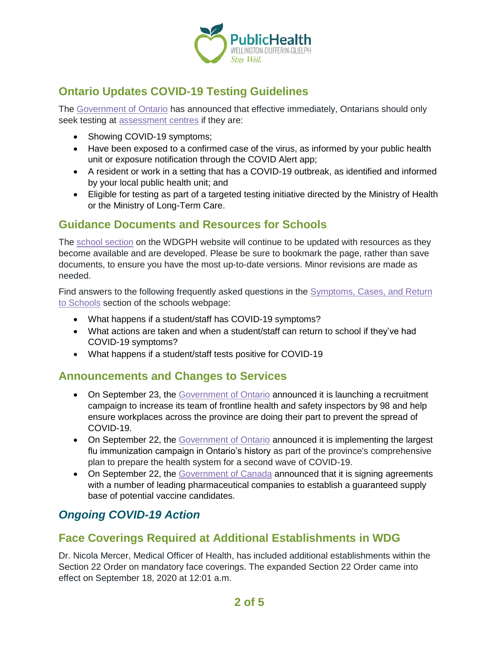

## **Ontario Updates COVID-19 Testing Guidelines**

The [Government of Ontario](https://news.ontario.ca/en/statement/58507/ontario-updates-covid-19-testing-guidelines) has announced that effective immediately, Ontarians should only seek testing at **assessment** centres if they are:

- Showing COVID-19 symptoms;
- Have been exposed to a confirmed case of the virus, as informed by your public health unit or exposure notification through the COVID Alert app;
- A resident or work in a setting that has a COVID-19 outbreak, as identified and informed by your local public health unit; and
- Eligible for testing as part of a targeted testing initiative directed by the Ministry of Health or the Ministry of Long-Term Care.

#### **Guidance Documents and Resources for Schools**

The [school section](https://www.wdgpublichealth.ca/your-health/covid-19-information-schools-parents-and-teachers/schools-and-post-secondary) on the WDGPH website will continue to be updated with resources as they become available and are developed. Please be sure to bookmark the page, rather than save documents, to ensure you have the most up-to-date versions. Minor revisions are made as needed.

Find answers to the following frequently asked questions in the [Symptoms, Cases, and Return](https://www.wdgpublichealth.ca/your-health/covid-19-information-schools-parents-and-teachers/schools)  [to Schools](https://www.wdgpublichealth.ca/your-health/covid-19-information-schools-parents-and-teachers/schools) section of the schools webpage:

- What happens if a student/staff has COVID-19 symptoms?
- What actions are taken and when a student/staff can return to school if they've had COVID-19 symptoms?
- What happens if a student/staff tests positive for COVID-19

#### **Announcements and Changes to Services**

- On September 23, the [Government of Ontario](https://news.ontario.ca/en/release/58482/ontario-set-to-employ-the-largest-number-of-labour-inspectors-in-provincial-history) announced it is launching a recruitment campaign to increase its team of frontline health and safety inspectors by 98 and help ensure workplaces across the province are doing their part to prevent the spread of COVID-19.
- On September 22, the [Government of Ontario](https://news.ontario.ca/en/release/58474/ontario-set-to-launch-largest-flu-immunization-campaign-in-provinces-history) announced it is implementing the largest flu immunization campaign in Ontario's history as part of the province's comprehensive plan to prepare the health system for a second wave of COVID-19.
- On September 22, the [Government of Canada](https://www.canada.ca/en/public-services-procurement/news/2020/09/government-of-canada-signs-new-agreements-to-secure-additional-vaccine-candidate-and-treatment-for-covid-19.html) announced that it is signing agreements with a number of leading pharmaceutical companies to establish a guaranteed supply base of potential vaccine candidates.

### *Ongoing COVID-19 Action*

### **Face Coverings Required at Additional Establishments in WDG**

Dr. Nicola Mercer, Medical Officer of Health, has included additional establishments within the Section 22 Order on mandatory face coverings. The expanded Section 22 Order came into effect on September 18, 2020 at 12:01 a.m.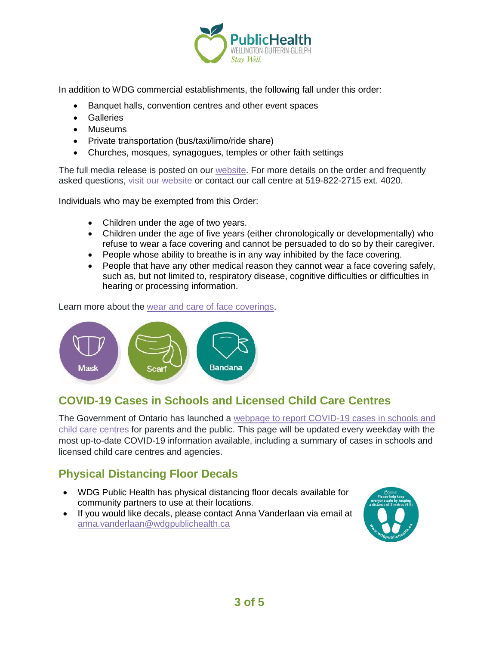

In addition to WDG commercial establishments, the following fall under this order:

- Banquet halls, convention centres and other event spaces
- Galleries
- Museums
- Private transportation (bus/taxi/limo/ride share)
- Churches, mosques, synagogues, temples or other faith settings

The full media release is posted on our [website.](https://www.wdgpublichealth.ca/news/increasing-cases-our-region-prompt-updates-dr-nicola-mercer%E2%80%99s-section-22-order) For more details on the order and frequently asked questions, [visit our website](https://www.wdgpublichealth.ca/your-health/covid-19-information-public/face-coverings-class-order-and-faqs) or contact our call centre at 519-822-2715 ext. 4020.

Individuals who may be exempted from this Order:

- Children under the age of two years.
- Children under the age of five years (either chronologically or developmentally) who refuse to wear a face covering and cannot be persuaded to do so by their caregiver.
- People whose ability to breathe is in any way inhibited by the face covering.
- People that have any other medical reason they cannot wear a face covering safely, such as, but not limited to, respiratory disease, cognitive difficulties or difficulties in hearing or processing information.

Learn more about the [wear and care of face coverings.](https://www.wdgpublichealth.ca/your-health/covid-19-information-public/face-coverings-class-order-and-faqs/wear-and-care-face)



### **COVID-19 Cases in Schools and Licensed Child Care Centres**

The Government of Ontario has launched a [webpage to report COVID-19 cases in schools and](https://www.ontario.ca/page/covid-19-cases-schools-and-child-care-centres)  [child care centres](https://www.ontario.ca/page/covid-19-cases-schools-and-child-care-centres) for parents and the public. This page will be updated every weekday with the most up-to-date COVID-19 information available, including a summary of cases in schools and licensed child care centres and agencies.

### **Physical Distancing Floor Decals**

- WDG Public Health has physical distancing floor decals available for community partners to use at their locations.
- If you would like decals, please contact Anna Vanderlaan via email at [anna.vanderlaan@wdgpublichealth.ca](mailto:anna.vanderlaan@wdgpublichealth.ca)

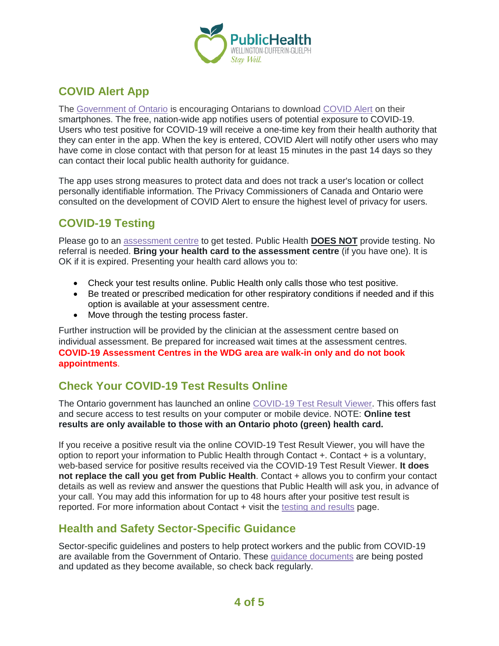

## **COVID Alert App**

The [Government of Ontario](https://news.ontario.ca/opo/en/2020/07/covid-alert-available-for-download-beginning-today.html) is encouraging Ontarians to download [COVID Alert](https://covid-19.ontario.ca/covidalert?_ga=2.68068817.1702415536.1596548534-1123331746.1579028832) on their smartphones. The free, nation-wide app notifies users of potential exposure to COVID-19. Users who test positive for COVID-19 will receive a one-time key from their health authority that they can enter in the app. When the key is entered, COVID Alert will notify other users who may have come in close contact with that person for at least 15 minutes in the past 14 days so they can contact their local public health authority for guidance.

The app uses strong measures to protect data and does not track a user's location or collect personally identifiable information. The Privacy Commissioners of Canada and Ontario were consulted on the development of COVID Alert to ensure the highest level of privacy for users.

### **COVID-19 Testing**

Please go to an [assessment centre](https://wdgpublichealth.ca/your-health/covid-19-information-public/assessment-centres-wdg) to get tested. Public Health **DOES NOT** provide testing. No referral is needed. **Bring your health card to the assessment centre** (if you have one). It is OK if it is expired. Presenting your health card allows you to:

- Check your test results online. Public Health only calls those who test positive.
- Be treated or prescribed medication for other respiratory conditions if needed and if this option is available at your assessment centre.
- Move through the testing process faster.

Further instruction will be provided by the clinician at the assessment centre based on individual assessment. Be prepared for increased wait times at the assessment centres. **COVID-19 Assessment Centres in the WDG area are walk-in only and do not book appointments**.

### **Check Your COVID-19 Test Results Online**

The Ontario government has launched an online [COVID-19 Test Result Viewer.](https://covid19results.ehealthontario.ca:4443/agree) This offers fast and secure access to test results on your computer or mobile device. NOTE: **Online test results are only available to those with an Ontario photo (green) health card.**

If you receive a positive result via the online COVID-19 Test Result Viewer, you will have the option to report your information to Public Health through Contact +. Contact + is a voluntary, web-based service for positive results received via the COVID-19 Test Result Viewer. **It does not replace the call you get from Public Health**. Contact + allows you to confirm your contact details as well as review and answer the questions that Public Health will ask you, in advance of your call. You may add this information for up to 48 hours after your positive test result is reported. For more information about Contact + visit the [testing and results](https://www.wdgpublichealth.ca/your-health/covid-19-information-public/testing-and-results) page.

### **Health and Safety Sector-Specific Guidance**

Sector-specific guidelines and posters to help protect workers and the public from COVID-19 are available from the Government of Ontario. These [guidance documents](https://www.ontario.ca/page/resources-prevent-covid-19-workplace) are being posted and updated as they become available, so check back regularly.